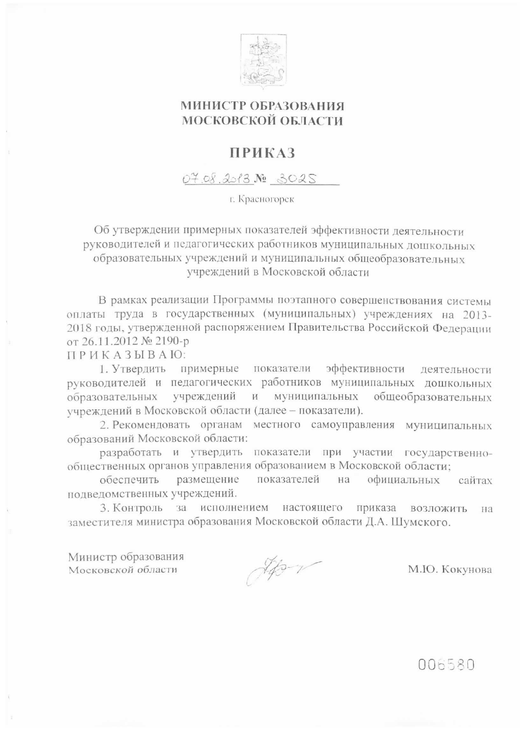

## МИНИСТР ОБРАЗОВАНИЯ МОСКОВСКОЙ ОБЛАСТИ

## **ПРИКАЗ**

07.08.2013 No 3025

г. Красногорск

Об утверждении примерных показателей эффективности деятельности руководителей и педагогических работников муниципальных дошкольных образовательных учреждений и муниципальных общеобразовательных учреждений в Московской области

В рамках реализации Программы поэтапного совершенствования системы оплаты труда в государственных (муниципальных) учреждениях на 2013-2018 годы, утвержденной распоряжением Правительства Российской Федерации от 26.11.2012 № 2190-р

ПРИКАЗЫВАЮ:

1. Утвердить примерные показатели эффективности деятельности руководителей и педагогических работников муниципальных дошкольных образовательных учреждений муниципальных общеобразовательных  $\mathbf{H}$ учреждений в Московской области (далее - показатели).

2. Рекомендовать органам местного самоуправления муниципальных образований Московской области:

разработать и утвердить показатели при участии государственнообщественных органов управления образованием в Московской области;

показателей обеспечить размещение на официальных сайтах подведомственных учреждений.

3. Контроль за исполнением настоящего приказа возложить на заместителя министра образования Московской области Д.А. Шумского.

Министр образования Московской области

How

М.Ю. Кокунова

006580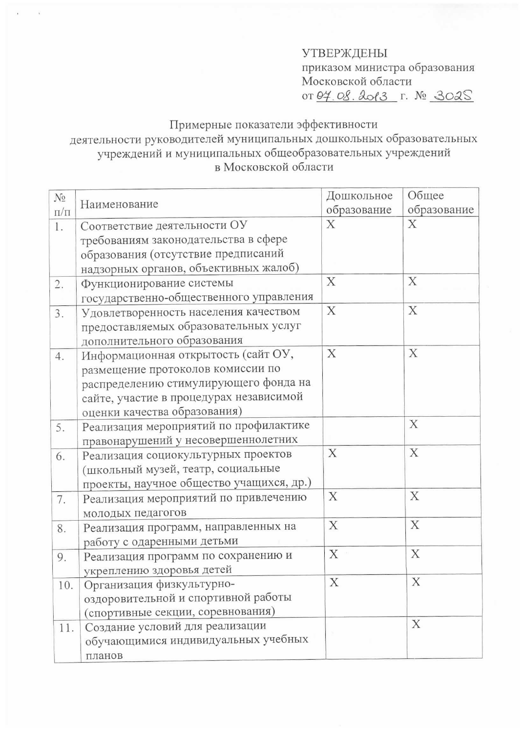## **УТВЕРЖДЕНЫ** приказом министра образования Московской области

0T 04.08.2013 r. Nº 3025

## Примерные показатели эффективности деятельности руководителей муниципальных дошкольных образовательных учреждений и муниципальных общеобразовательных учреждений в Московской области

| $N_2$     |                                          | Дошкольное                | Общее       |
|-----------|------------------------------------------|---------------------------|-------------|
| $\Pi/\Pi$ | Наименование                             | образование               | образование |
| 1.        | Соответствие деятельности ОУ             | Χ                         | X           |
|           | требованиям законодательства в сфере     |                           |             |
|           | образования (отсутствие предписаний      |                           |             |
|           | надзорных органов, объективных жалоб)    |                           |             |
| 2.        | Функционирование системы                 | X                         | X           |
|           | государственно-общественного управления  |                           |             |
| 3.        | Удовлетворенность населения качеством    | $\boldsymbol{\mathrm{X}}$ | X           |
|           | предоставляемых образовательных услуг    |                           |             |
|           | дополнительного образования              |                           |             |
| 4.        | Информационная открытость (сайт ОУ,      | X                         | X           |
|           | размещение протоколов комиссии по        |                           |             |
|           | распределению стимулирующего фонда на    |                           |             |
|           | сайте, участие в процедурах независимой  |                           |             |
|           | оценки качества образования)             |                           |             |
| 5.        | Реализация мероприятий по профилактике   |                           | X           |
|           | правонарушений у несовершеннолетних      |                           |             |
| 6.        | Реализация социокультурных проектов      | X                         | $\mathbf X$ |
|           | (школьный музей, театр, социальные       |                           |             |
|           | проекты, научное общество учащихся, др.) |                           |             |
| 7.        | Реализация мероприятий по привлечению    | X                         | X           |
|           | молодых педагогов                        |                           |             |
| 8.        | Реализация программ, направленных на     | X                         | X           |
|           | работу с одаренными детьми               |                           |             |
| 9.        | Реализация программ по сохранению и      | X                         | X           |
|           | укреплению здоровья детей                |                           |             |
| 10.       | Организация физкультурно-                | X                         | X           |
|           | оздоровительной и спортивной работы      |                           |             |
|           | (спортивные секции, соревнования)        |                           |             |
| 11.       | Создание условий для реализации          |                           | X           |
|           | обучающимися индивидуальных учебных      |                           |             |
|           | планов                                   |                           |             |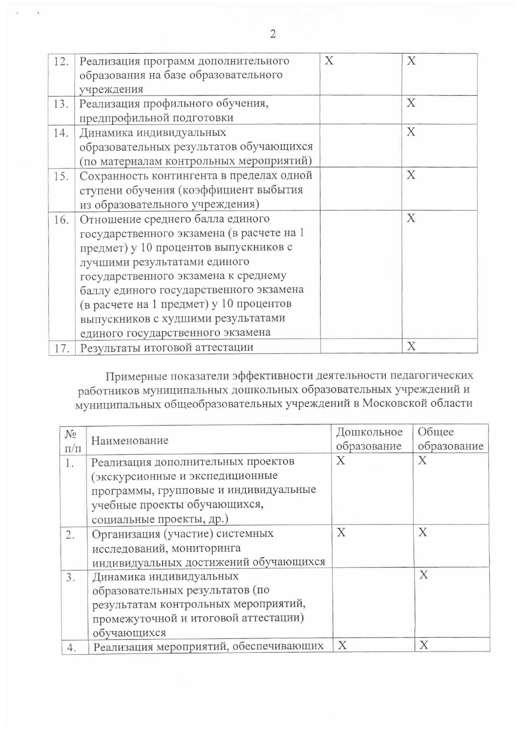| 12. | Реализация программ дополнительного       | X | X |
|-----|-------------------------------------------|---|---|
|     | образования на базе образовательного      |   |   |
|     | учреждения                                |   |   |
| 13. | Реализация профильного обучения,          |   | X |
|     | предпрофильной подготовки                 |   |   |
| 14. | Динамика индивидуальных                   |   | X |
|     | образовательных результатов обучающихся   |   |   |
|     | (по материалам контрольных мероприятий)   |   |   |
| 15. | Сохранность контингента в пределах одной  |   | X |
|     | ступени обучения (коэффициент выбытия     |   |   |
|     | из образовательного учреждения)           |   |   |
| 16. | Отношение среднего балла единого          |   | X |
|     | государственного экзамена (в расчете на 1 |   |   |
|     | предмет) у 10 процентов выпускников с     |   |   |
|     | лучшими результатами единого              |   |   |
|     | государственного экзамена к среднему      |   |   |
|     | баллу единого государственного экзамена   |   |   |
|     | (в расчете на 1 предмет) у 10 процентов   |   |   |
|     | выпускников с худшими результатами        |   |   |
|     | единого государственного экзамена         |   |   |
| 17. | Результаты итоговой аттестации            |   | X |

Примерные показатели эффективности деятельности педагогических работников муниципальных дошкольных образовательных учреждений и муниципальных общеобразовательных учреждений в Московской области

| $N_{2}$   |                                        | Дошкольное  | Общее       |
|-----------|----------------------------------------|-------------|-------------|
| $\Pi/\Pi$ | Наименование                           | образование | образование |
|           |                                        |             |             |
| 1.        | Реализация дополнительных проектов     | Χ           | X           |
|           | (экскурсионные и экспедиционные        |             |             |
|           | программы, групповые и индивидуальные  |             |             |
|           | учебные проекты обучающихся,           |             |             |
|           | социальные проекты, др.)               |             |             |
| 2.        | Организация (участие) системных        | X           | X           |
|           | исследований, мониторинга              |             |             |
|           | индивидуальных достижений обучающихся  |             |             |
| 3.        | Динамика индивидуальных                |             | X           |
|           | образовательных результатов (по        |             |             |
|           | результатам контрольных мероприятий,   |             |             |
|           | промежуточной и итоговой аттестации)   |             |             |
|           | обучающихся                            |             |             |
|           | Реализация мероприятий, обеспечивающих | X           | X           |